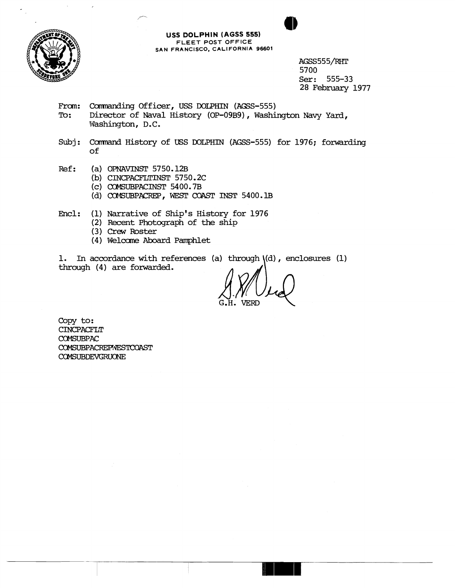

**USS DOLPHIN (AGSS 555) FLEET POST OFFICE SAN FRANCISCO, CALIFORNIA 96601** 

> AGSS555/RHT 5700<br>Ser: Ser: 555-33 28 February 1977

From: Commanding Officer, USS DOLPHIN (AGSS-555)<br>To: Director of Naval History (OP-09B9), Washi

- Director of Naval History (OP-09B9), Washington Navy Yard, Washington, D.C.
- Subj: Command History of USS DOLPHIN (AGSS-555) for 1976; forwarding of
- Ref: (a) OPNAVINST 5750.12B
	- **(b)** CINCPACFLTINST 5750.2C
	- (c) CaMSUBPACINST 54 00.7B
	- (d) COMSUBPACREP, WEST COAST INST 5400.1B

Encl: (1) Narrative of Ship's History for 1976

- (2) Recent Photograph of the ship
- (3) Crew Roster
- (4) Welcme Aboard Pamphlet

1. In accordance with references (a) through \(d) , enclosures (1) through (4) are forwarded.

**G.H.** VERD

Copy to: CINCPACFLT *COMSUBE'AL:*  COMSUBPACREPWESTCOAST COMSUBDEVGRUONE